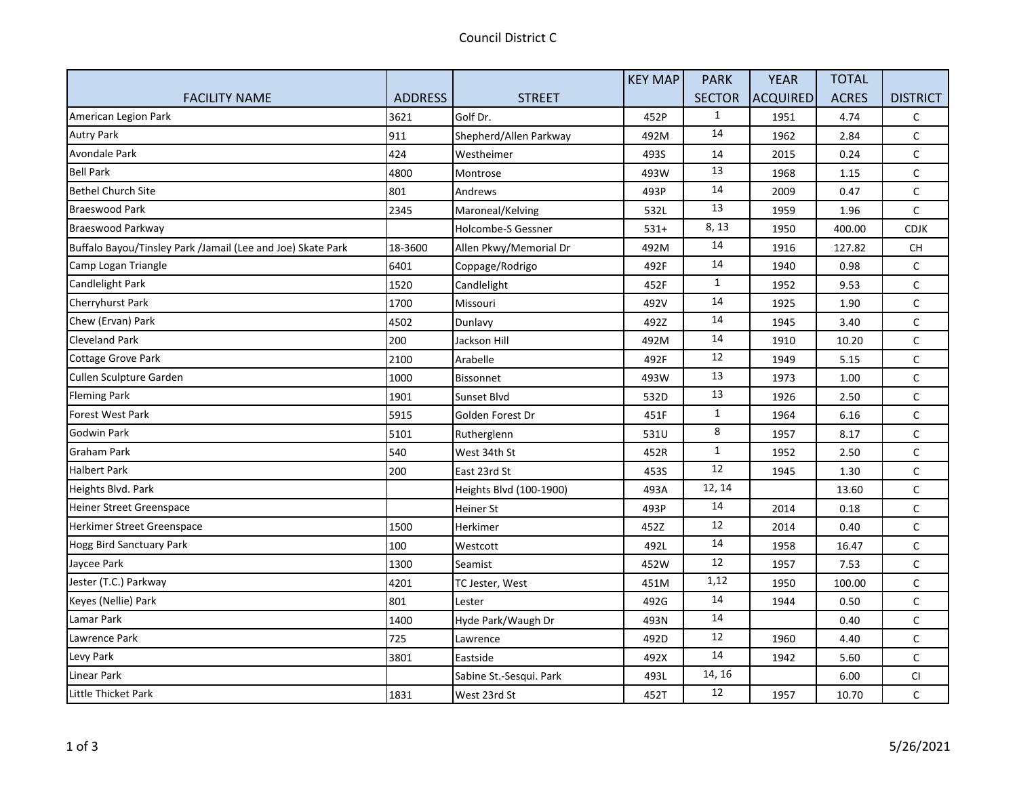|                                                             |                |                         | <b>KEY MAP</b> | <b>PARK</b>   | <b>YEAR</b> | <b>TOTAL</b> |                 |
|-------------------------------------------------------------|----------------|-------------------------|----------------|---------------|-------------|--------------|-----------------|
| <b>FACILITY NAME</b>                                        | <b>ADDRESS</b> | <b>STREET</b>           |                | <b>SECTOR</b> | ACQUIRED    | <b>ACRES</b> | <b>DISTRICT</b> |
| American Legion Park                                        | 3621           | Golf Dr.                | 452P           | $\mathbf{1}$  | 1951        | 4.74         | C               |
| <b>Autry Park</b>                                           | 911            | Shepherd/Allen Parkway  | 492M           | 14            | 1962        | 2.84         | C               |
| <b>Avondale Park</b>                                        | 424            | Westheimer              | 493S           | 14            | 2015        | 0.24         | C               |
| <b>Bell Park</b>                                            | 4800           | Montrose                | 493W           | 13            | 1968        | 1.15         | C               |
| <b>Bethel Church Site</b>                                   | 801            | Andrews                 | 493P           | 14            | 2009        | 0.47         | C               |
| <b>Braeswood Park</b>                                       | 2345           | Maroneal/Kelving        | 532L           | 13            | 1959        | 1.96         | C               |
| Braeswood Parkway                                           |                | Holcombe-S Gessner      | $531+$         | 8, 13         | 1950        | 400.00       | <b>CDJK</b>     |
| Buffalo Bayou/Tinsley Park /Jamail (Lee and Joe) Skate Park | 18-3600        | Allen Pkwy/Memorial Dr  | 492M           | 14            | 1916        | 127.82       | <b>CH</b>       |
| Camp Logan Triangle                                         | 6401           | Coppage/Rodrigo         | 492F           | 14            | 1940        | 0.98         | C               |
| Candlelight Park                                            | 1520           | Candlelight             | 452F           | $\mathbf{1}$  | 1952        | 9.53         | C               |
| Cherryhurst Park                                            | 1700           | Missouri                | 492V           | 14            | 1925        | 1.90         | C               |
| Chew (Ervan) Park                                           | 4502           | Dunlavy                 | 492Z           | 14            | 1945        | 3.40         | C               |
| <b>Cleveland Park</b>                                       | 200            | Jackson Hill            | 492M           | 14            | 1910        | 10.20        | $\mathsf{C}$    |
| Cottage Grove Park                                          | 2100           | Arabelle                | 492F           | 12            | 1949        | 5.15         | C               |
| Cullen Sculpture Garden                                     | 1000           | <b>Bissonnet</b>        | 493W           | 13            | 1973        | 1.00         | C               |
| <b>Fleming Park</b>                                         | 1901           | Sunset Blvd             | 532D           | 13            | 1926        | 2.50         | C               |
| <b>Forest West Park</b>                                     | 5915           | Golden Forest Dr        | 451F           | $\mathbf{1}$  | 1964        | 6.16         | C               |
| <b>Godwin Park</b>                                          | 5101           | Rutherglenn             | 531U           | 8             | 1957        | 8.17         | C               |
| <b>Graham Park</b>                                          | 540            | West 34th St            | 452R           | $\mathbf{1}$  | 1952        | 2.50         | $\mathsf C$     |
| <b>Halbert Park</b>                                         | 200            | East 23rd St            | 453S           | 12            | 1945        | 1.30         | C               |
| Heights Blvd. Park                                          |                | Heights Blvd (100-1900) | 493A           | 12, 14        |             | 13.60        | C               |
| <b>Heiner Street Greenspace</b>                             |                | Heiner St               | 493P           | 14            | 2014        | 0.18         | C               |
| Herkimer Street Greenspace                                  | 1500           | Herkimer                | 452Z           | 12            | 2014        | 0.40         | C               |
| <b>Hogg Bird Sanctuary Park</b>                             | 100            | Westcott                | 492L           | 14            | 1958        | 16.47        | $\mathsf C$     |
| Jaycee Park                                                 | 1300           | Seamist                 | 452W           | 12            | 1957        | 7.53         | $\mathsf C$     |
| Jester (T.C.) Parkway                                       | 4201           | TC Jester, West         | 451M           | 1,12          | 1950        | 100.00       | C               |
| Keyes (Nellie) Park                                         | 801            | Lester                  | 492G           | 14            | 1944        | 0.50         | C               |
| Lamar Park                                                  | 1400           | Hyde Park/Waugh Dr      | 493N           | 14            |             | 0.40         | $\mathsf C$     |
| Lawrence Park                                               | 725            | Lawrence                | 492D           | 12            | 1960        | 4.40         | C               |
| Levy Park                                                   | 3801           | Eastside                | 492X           | 14            | 1942        | 5.60         | C               |
| Linear Park                                                 |                | Sabine St.-Sesqui. Park | 493L           | 14, 16        |             | 6.00         | CI              |
| Little Thicket Park                                         | 1831           | West 23rd St            | 452T           | 12            | 1957        | 10.70        | $\mathsf{C}$    |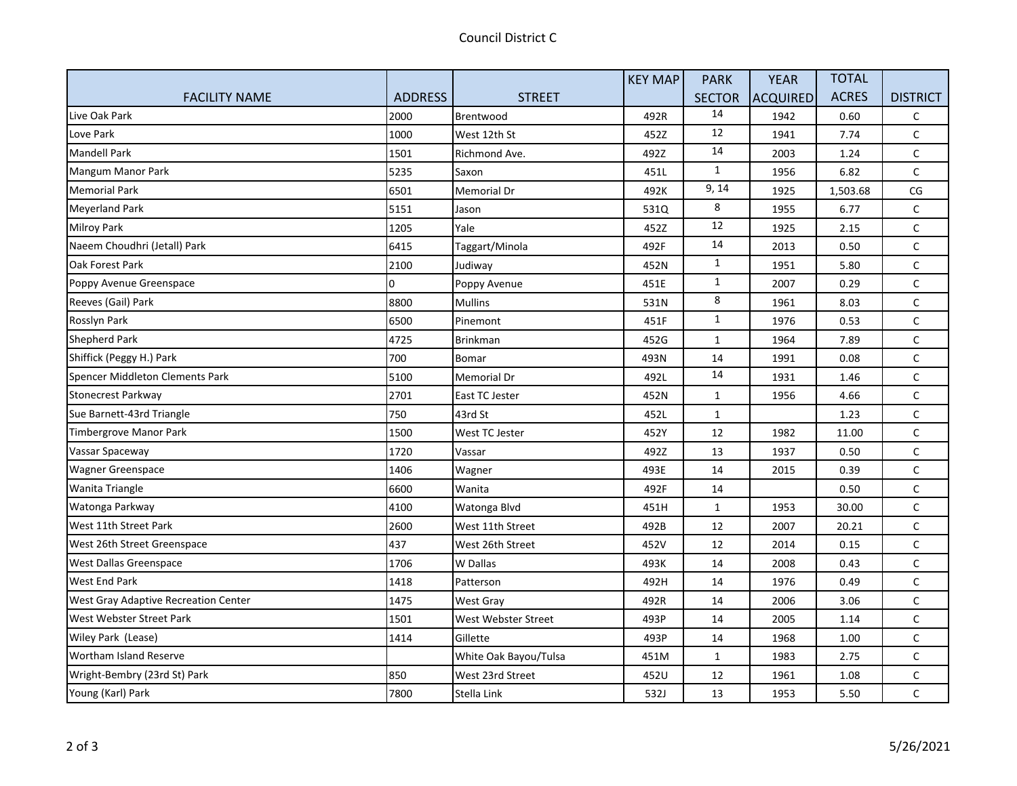|                                      |                |                       | <b>KEY MAP</b> | <b>PARK</b>   | <b>YEAR</b> | <b>TOTAL</b> |                 |
|--------------------------------------|----------------|-----------------------|----------------|---------------|-------------|--------------|-----------------|
| <b>FACILITY NAME</b>                 | <b>ADDRESS</b> | <b>STREET</b>         |                | <b>SECTOR</b> | ACQUIRED    | <b>ACRES</b> | <b>DISTRICT</b> |
| Live Oak Park                        | 2000           | Brentwood             | 492R           | 14            | 1942        | 0.60         | C               |
| Love Park                            | 1000           | West 12th St          | 452Z           | 12            | 1941        | 7.74         | C               |
| <b>Mandell Park</b>                  | 1501           | Richmond Ave.         | 492Z           | 14            | 2003        | 1.24         | $\mathsf C$     |
| Mangum Manor Park                    | 5235           | Saxon                 | 451L           | $\mathbf{1}$  | 1956        | 6.82         | $\mathsf C$     |
| <b>Memorial Park</b>                 | 6501           | Memorial Dr           | 492K           | 9, 14         | 1925        | 1,503.68     | CG              |
| <b>Meyerland Park</b>                | 5151           | Jason                 | 531Q           | 8             | 1955        | 6.77         | $\mathsf C$     |
| <b>Milroy Park</b>                   | 1205           | Yale                  | 452Z           | 12            | 1925        | 2.15         | C               |
| Naeem Choudhri (Jetall) Park         | 6415           | Taggart/Minola        | 492F           | 14            | 2013        | 0.50         | $\mathsf{C}$    |
| Oak Forest Park                      | 2100           | Judiway               | 452N           | $\mathbf{1}$  | 1951        | 5.80         | С               |
| Poppy Avenue Greenspace              | O.             | Poppy Avenue          | 451E           | $\mathbf{1}$  | 2007        | 0.29         | $\mathsf C$     |
| Reeves (Gail) Park                   | 8800           | <b>Mullins</b>        | 531N           | 8             | 1961        | 8.03         | $\mathsf C$     |
| Rosslyn Park                         | 6500           | Pinemont              | 451F           | $\mathbf{1}$  | 1976        | 0.53         | C               |
| <b>Shepherd Park</b>                 | 4725           | <b>Brinkman</b>       | 452G           | $\mathbf{1}$  | 1964        | 7.89         | $\mathsf{C}$    |
| Shiffick (Peggy H.) Park             | 700            | Bomar                 | 493N           | 14            | 1991        | 0.08         | C               |
| Spencer Middleton Clements Park      | 5100           | Memorial Dr           | 492L           | 14            | 1931        | 1.46         | $\mathsf C$     |
| Stonecrest Parkway                   | 2701           | East TC Jester        | 452N           | $\mathbf{1}$  | 1956        | 4.66         | C               |
| Sue Barnett-43rd Triangle            | 750            | 43rd St               | 452L           | $\mathbf{1}$  |             | 1.23         | $\mathsf C$     |
| Timbergrove Manor Park               | 1500           | West TC Jester        | 452Y           | 12            | 1982        | 11.00        | $\mathsf{C}$    |
| Vassar Spaceway                      | 1720           | Vassar                | 492Z           | 13            | 1937        | 0.50         | $\mathsf C$     |
| <b>Wagner Greenspace</b>             | 1406           | Wagner                | 493E           | 14            | 2015        | 0.39         | С               |
| Wanita Triangle                      | 6600           | Wanita                | 492F           | 14            |             | 0.50         | $\mathsf C$     |
| Watonga Parkway                      | 4100           | Watonga Blvd          | 451H           | $\mathbf{1}$  | 1953        | 30.00        | C               |
| West 11th Street Park                | 2600           | West 11th Street      | 492B           | 12            | 2007        | 20.21        | $\mathsf{C}$    |
| West 26th Street Greenspace          | 437            | West 26th Street      | 452V           | 12            | 2014        | 0.15         | $\mathsf C$     |
| West Dallas Greenspace               | 1706           | W Dallas              | 493K           | 14            | 2008        | 0.43         | $\mathsf C$     |
| <b>West End Park</b>                 | 1418           | Patterson             | 492H           | 14            | 1976        | 0.49         | С               |
| West Gray Adaptive Recreation Center | 1475           | <b>West Gray</b>      | 492R           | 14            | 2006        | 3.06         | $\mathsf C$     |
| West Webster Street Park             | 1501           | West Webster Street   | 493P           | 14            | 2005        | 1.14         | C               |
| Wiley Park (Lease)                   | 1414           | Gillette              | 493P           | 14            | 1968        | 1.00         | $\mathsf C$     |
| Wortham Island Reserve               |                | White Oak Bayou/Tulsa | 451M           | $\mathbf{1}$  | 1983        | 2.75         | $\mathsf C$     |
| Wright-Bembry (23rd St) Park         | 850            | West 23rd Street      | 452U           | 12            | 1961        | 1.08         | $\mathsf C$     |
| Young (Karl) Park                    | 7800           | Stella Link           | 532J           | 13            | 1953        | 5.50         | C               |